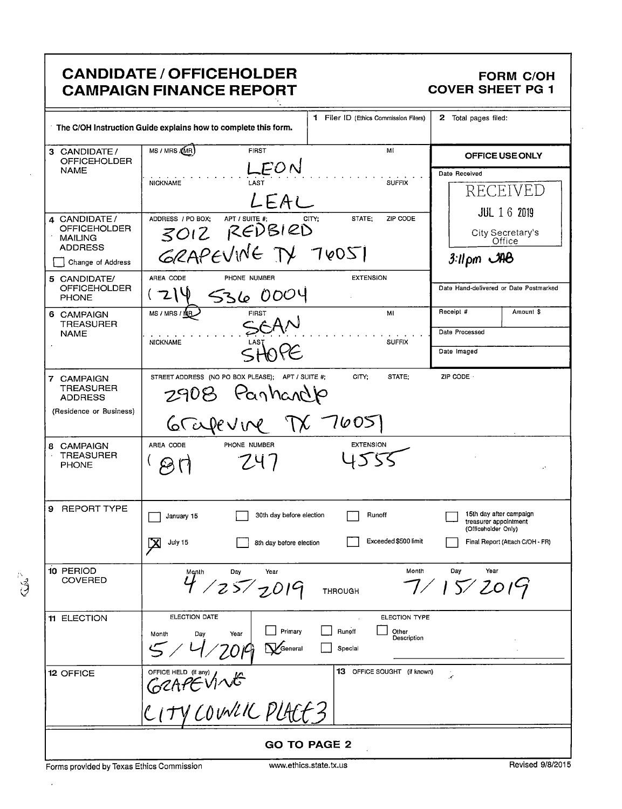|                                                                                              | <b>CANDIDATE / OFFICEHOLDER</b><br><b>CAMPAIGN FINANCE REPORT</b>                                      |                                                            | <b>FORM C/OH</b><br><b>COVER SHEET PG 1</b>                                                                |
|----------------------------------------------------------------------------------------------|--------------------------------------------------------------------------------------------------------|------------------------------------------------------------|------------------------------------------------------------------------------------------------------------|
|                                                                                              | The C/OH Instruction Guide explains how to complete this form.                                         | 1 Filer ID (Ethics Commission Filers)                      | 2 Total pages filed:                                                                                       |
| 3 CANDIDATE/<br><b>OFFICEHOLDER</b><br><b>NAME</b>                                           | MS / MRS / (MR)<br><b>FIRST</b><br>LEON<br>LAST<br><b>NICKNAME</b><br>LEAL                             | Мľ<br><b>SUFFIX</b>                                        | OFFICE USE ONLY<br>Date Received<br>RECEIVED                                                               |
| 4 CANDIDATE/<br><b>OFFICEHOLDER</b><br><b>MAILING</b><br><b>ADDRESS</b><br>Change of Address | ADDRESS / PO BOX:<br>APT / SUITE #;<br>3012 REDBIRD<br>GRAPEVINE TV 70051<br>AREA CODE<br>PHONE NUMBER | CITY:<br>STATE;<br>ZIP CODE<br><b>EXTENSION</b>            | <b>JUL 1 6 2019</b><br>City Secretary's<br>Office<br>$3:11 \text{ pm}$ $\mathcal{A}$                       |
| 5 CANDIDATE/<br><b>OFFICEHOLDER</b><br><b>PHONE</b>                                          | 536 0004                                                                                               |                                                            | Date Hand-delivered or Date Postmarked<br>Receipt #                                                        |
| 6 CAMPAIGN<br><b>TREASURER</b><br><b>NAME</b>                                                | <b>FIRST</b><br>MS / MRS / NR<br><b>NICKNAME</b>                                                       | MI<br><b>SUFFIX</b>                                        | Amount \$<br>Date Processed<br>Date Imaged                                                                 |
| 7 CAMPAIGN<br><b>TREASURER</b><br><b>ADDRESS</b><br>(Residence or Business)                  | STREET ADDRESS (NO PO BOX PLEASE); APT / SUITE #:<br>2908 Panhardp<br>Grapevine TX                     | CITY;<br>STATE:<br>7605                                    | ZIP CODE -                                                                                                 |
| 8 CAMPAIGN<br><b>TREASURER</b><br><b>PHONE</b>                                               | PHONE NUMBER<br>AREA CODE<br>247                                                                       | <b>EXTENSION</b>                                           |                                                                                                            |
| REPORT TYPE<br>9                                                                             | 30th day before election<br>$\Box$ January 15<br>区<br>July 15<br>8th day before election               | Runoff<br>Exceeded \$500 limit                             | 15th day after campaign<br>treasurer appointment<br>(Officeholder Only)<br>Final Report (Attach C/OH - FR) |
| 10 PERIOD<br>COVERED                                                                         | Month<br>Day<br>Year<br>4 / 25 / 2019                                                                  | Month<br><b>THROUGH</b>                                    | Day<br>Year<br>7/15/2019                                                                                   |
| 11 ELECTION                                                                                  | ELECTION DATE<br>Primary<br>Day<br>Year<br>Month<br>$\sum$ General                                     | ELECTION TYPE<br>Runoff<br>Other<br>Description<br>Special |                                                                                                            |
| 12 OFFICE                                                                                    | OFFICE HELD (if any)<br>GERPENNE<br>CITY COUNCIL PLACE3                                                | 13 OFFICE SOUGHT (if known)                                | k,                                                                                                         |
|                                                                                              |                                                                                                        | <b>GO TO PAGE 2</b>                                        |                                                                                                            |

Forms provided by Texas Ethics Commission vuvuethics.state.tx.us Revised 9/8/2015

f.

 $\bar{z}$ 

 $\ddot{\phantom{a}}$ 

٦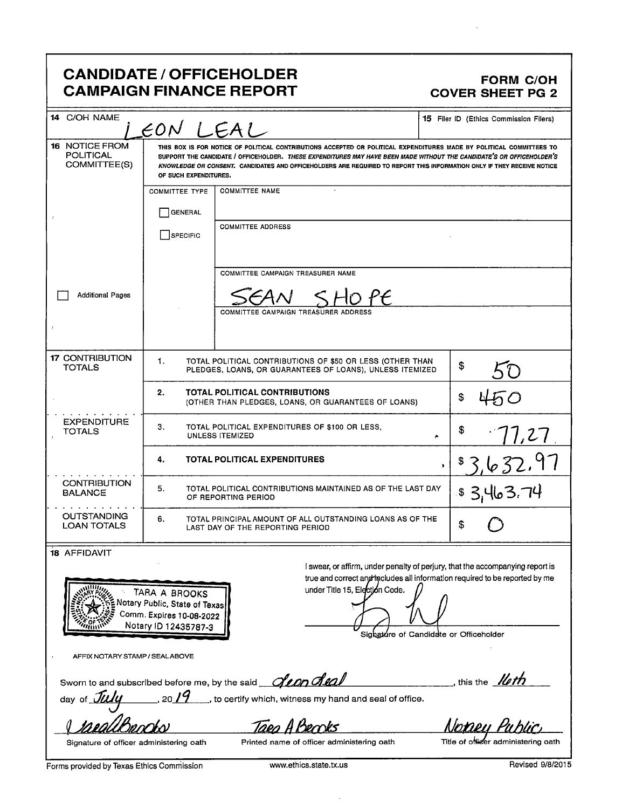### CANDIDATE / OFFICEHOLDER FORM C/OH CAMPAIGN FINANCE REPORT COVER SHEET PG 2

| 14 C/OH NAME                                              | EON LEAL                                                                                           |                                                                                                                                                                                                                                                                                                                                                                         | <b>15</b> Filer ID (Ethics Commission Filers)                                                                                                                                                            |
|-----------------------------------------------------------|----------------------------------------------------------------------------------------------------|-------------------------------------------------------------------------------------------------------------------------------------------------------------------------------------------------------------------------------------------------------------------------------------------------------------------------------------------------------------------------|----------------------------------------------------------------------------------------------------------------------------------------------------------------------------------------------------------|
| <b>16 NOTICE FROM</b><br><b>POLITICAL</b><br>COMMITTEE(S) | OF SUCH EXPENDITURES.                                                                              | THIS BOX IS FOR NOTICE OF POLITICAL CONTRIBUTIONS ACCEPTED OR POLITICAL EXPENDITURES MADE BY POLITICAL COMMITTEES TO<br>SUPPORT THE CANDIDATE / OFFICEHOLDER. THESE EXPENDITURES MAY HAVE BEEN MADE WITHOUT THE CANDIDATE'S OR OFFICEHOLDER'S<br>KNOWLEDGE OR CONSENT. CANDIDATES AND OFFICEHOLDERS ARE REQUIRED TO REPORT THIS INFORMATION ONLY IF THEY RECEIVE NOTICE |                                                                                                                                                                                                          |
|                                                           | <b>COMMITTEE TYPE</b>                                                                              | <b>COMMITTEE NAME</b>                                                                                                                                                                                                                                                                                                                                                   |                                                                                                                                                                                                          |
|                                                           | <b>GENERAL</b>                                                                                     |                                                                                                                                                                                                                                                                                                                                                                         |                                                                                                                                                                                                          |
|                                                           | SPECIFIC                                                                                           | <b>COMMITTEE ADDRESS</b>                                                                                                                                                                                                                                                                                                                                                |                                                                                                                                                                                                          |
|                                                           |                                                                                                    | COMMITTEE CAMPAIGN TREASURER NAME                                                                                                                                                                                                                                                                                                                                       |                                                                                                                                                                                                          |
| <b>Additional Pages</b>                                   |                                                                                                    | ) PE                                                                                                                                                                                                                                                                                                                                                                    |                                                                                                                                                                                                          |
|                                                           |                                                                                                    | COMMITTEE CAMPAIGN TREASURER ADDRESS                                                                                                                                                                                                                                                                                                                                    |                                                                                                                                                                                                          |
|                                                           |                                                                                                    |                                                                                                                                                                                                                                                                                                                                                                         |                                                                                                                                                                                                          |
| <b>17 CONTRIBUTION</b><br><b>TOTALS</b>                   | 1.                                                                                                 | TOTAL POLITICAL CONTRIBUTIONS OF \$50 OR LESS (OTHER THAN<br>PLEDGES, LOANS, OR GUARANTEES OF LOANS), UNLESS ITEMIZED                                                                                                                                                                                                                                                   | \$                                                                                                                                                                                                       |
|                                                           | 2.                                                                                                 | <b>TOTAL POLITICAL CONTRIBUTIONS</b><br>(OTHER THAN PLEDGES, LOANS, OR GUARANTEES OF LOANS)                                                                                                                                                                                                                                                                             | \$                                                                                                                                                                                                       |
| <b>EXPENDITURE</b><br><b>TOTALS</b>                       | з.                                                                                                 | TOTAL POLITICAL EXPENDITURES OF \$100 OR LESS,<br>UNLESS ITEMIZED                                                                                                                                                                                                                                                                                                       | \$<br>1,27<br>٠                                                                                                                                                                                          |
|                                                           | 4.                                                                                                 | <b>TOTAL POLITICAL EXPENDITURES</b>                                                                                                                                                                                                                                                                                                                                     | 3,632.97<br>$\bullet$                                                                                                                                                                                    |
| <b>CONTRIBUTION</b><br><b>BALANCE</b>                     | 5.                                                                                                 | TOTAL POLITICAL CONTRIBUTIONS MAINTAINED AS OF THE LAST DAY<br>OF REPORTING PERIOD                                                                                                                                                                                                                                                                                      | \$3,463.74                                                                                                                                                                                               |
| <b>OUTSTANDING</b><br><b>LOAN TOTALS</b>                  | 6.                                                                                                 | TOTAL PRINCIPAL AMOUNT OF ALL OUTSTANDING LOANS AS OF THE<br>LAST DAY OF THE REPORTING PERIOD                                                                                                                                                                                                                                                                           | \$                                                                                                                                                                                                       |
| <b>18 AFFIDAVIT</b>                                       | TARA A BROOKS<br>Notary Public, State of Texas<br>Comm. Expires 10-08-2022<br>Notary ID 12435787-3 | under Title 15, Election Code.                                                                                                                                                                                                                                                                                                                                          | I swear, or affirm, under penalty of perjury, that the accompanying report is<br>true and correct and the cludes all information required to be reported by me<br>Sighature of Candidate or Officeholder |
| AFFIX NOTARY STAMP / SEALABOVE                            |                                                                                                    |                                                                                                                                                                                                                                                                                                                                                                         |                                                                                                                                                                                                          |

Sworn to and subscribed before me, by the said **fean heal** with the least of this the **leth** 

day of  $\overline{\mathcal{H}\mathcal{U}}\mathcal{Y}$  . 20  $19$ , to certify which, witness my hand and seal of office.

ay of July 1967 1968 the certify which, witness my hand and seal of office.<br>Land Buncley Public

Signature of officer administering oath Printed name of officer administering oath Title of officer administering oath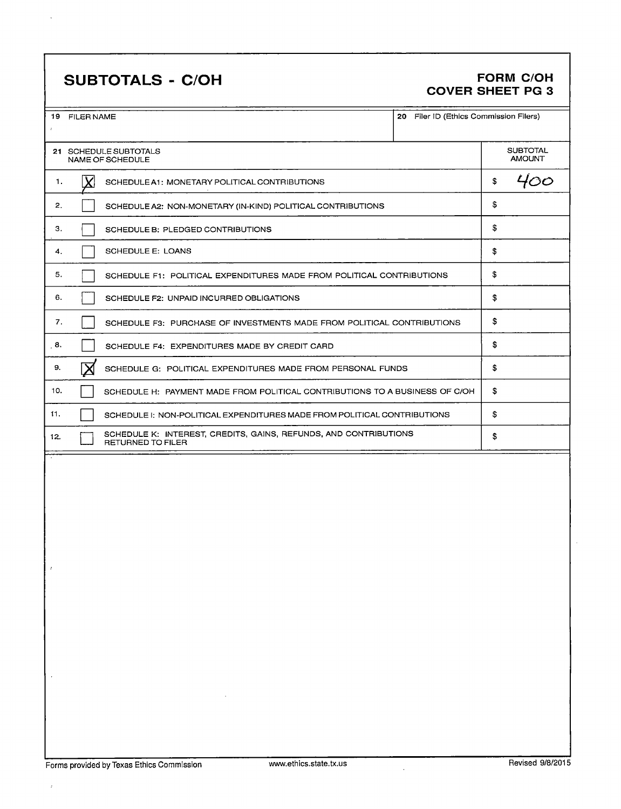# SUBTOTALS - C/OH FORM C/OH

 $\ddot{\phantom{a}}$ 

# COVER SHEET PG 3

|               |                                                                                                    | 20 Filer ID (Ethics Commission Filers)<br>19 FILER NAME               |    |                                  |     |
|---------------|----------------------------------------------------------------------------------------------------|-----------------------------------------------------------------------|----|----------------------------------|-----|
|               | 21 SCHEDULE SUBTOTALS<br>NAME OF SCHEDULE                                                          |                                                                       |    | <b>SUBTOTAL</b><br><b>AMOUNT</b> |     |
| 1.            |                                                                                                    | SCHEDULE A1: MONETARY POLITICAL CONTRIBUTIONS                         |    | \$                               | 400 |
| 2.            |                                                                                                    | SCHEDULE A2: NON-MONETARY (IN-KIND) POLITICAL CONTRIBUTIONS           |    | \$                               |     |
| з.            | SCHEDULE B: PLEDGED CONTRIBUTIONS                                                                  |                                                                       |    | \$                               |     |
| 4.            | SCHEDULE E: LOANS                                                                                  |                                                                       |    | \$                               |     |
| 5.            |                                                                                                    | SCHEDULE F1: POLITICAL EXPENDITURES MADE FROM POLITICAL CONTRIBUTIONS |    | \$                               |     |
| 6.            |                                                                                                    | SCHEDULE F2: UNPAID INCURRED OBLIGATIONS                              |    | \$                               |     |
| 7.            | SCHEDULE F3: PURCHASE OF INVESTMENTS MADE FROM POLITICAL CONTRIBUTIONS                             |                                                                       | \$ |                                  |     |
| . 8.          | SCHEDULE F4: EXPENDITURES MADE BY CREDIT CARD                                                      |                                                                       | \$ |                                  |     |
| 9.            | SCHEDULE G: POLITICAL EXPENDITURES MADE FROM PERSONAL FUNDS                                        |                                                                       | \$ |                                  |     |
| 10.           | SCHEDULE H: PAYMENT MADE FROM POLITICAL CONTRIBUTIONS TO A BUSINESS OF C/OH                        |                                                                       | \$ |                                  |     |
| 11.           | SCHEDULE I: NON-POLITICAL EXPENDITURES MADE FROM POLITICAL CONTRIBUTIONS                           |                                                                       | \$ |                                  |     |
| 12.           | SCHEDULE K: INTEREST, CREDITS, GAINS, REFUNDS, AND CONTRIBUTIONS<br>\$<br><b>RETURNED TO FILER</b> |                                                                       |    |                                  |     |
| $\mathcal{I}$ |                                                                                                    |                                                                       |    |                                  |     |

 $\cdot$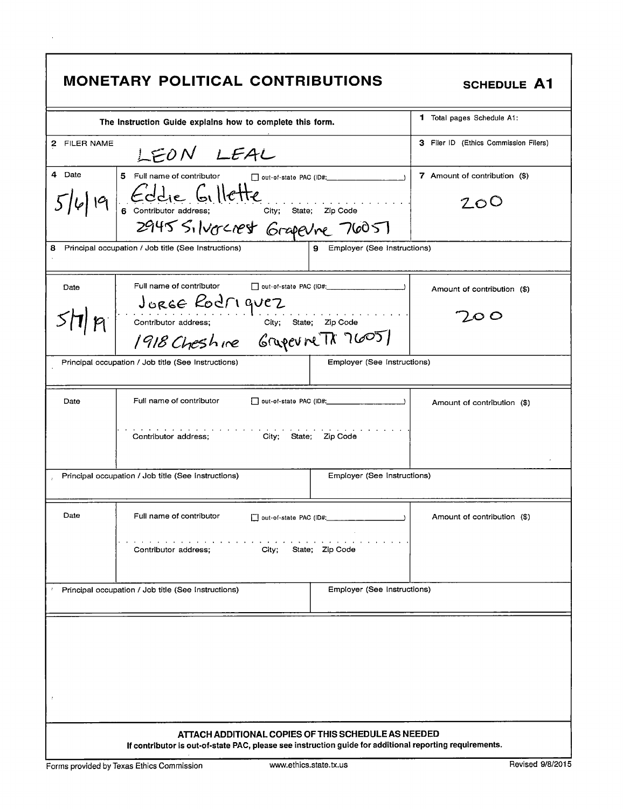### SCHEDULE A1

|                         | The Instruction Guide explains how to complete this form.                                               |                               | 1.<br>Total pages Schedule A1:        |
|-------------------------|---------------------------------------------------------------------------------------------------------|-------------------------------|---------------------------------------|
| 2 FILER NAME            | LEON LEAL                                                                                               |                               | 3 Filer ID (Ethics Commission Filers) |
| 4 Date                  | 5 Full name of contributor                                                                              |                               | 7 Amount of contribution (\$)         |
| 16/19                   | Eddie Gillette<br>6 Contributor address; City; State; Zip Code<br>2945 Silvercrest Grapevne 76051       |                               | 200                                   |
|                         |                                                                                                         |                               |                                       |
| 8                       | Principal occupation / Job title (See Instructions)                                                     | 9 Employer (See Instructions) |                                       |
| Date                    | Full name of contributor                                                                                |                               | Amount of contribution (\$)           |
|                         |                                                                                                         | .                             |                                       |
| $\mathcal{P}^{\dagger}$ |                                                                                                         |                               | LO O                                  |
|                         | JURGE ROCTI quez<br>Contributor address; City; state; Zip Code<br>1918 Cheshire Grupevine TX 7605       |                               |                                       |
|                         | Employer (See Instructions)<br>Principal occupation / Job title (See Instructions)                      |                               |                                       |
| Date                    | Full name of contributor                                                                                |                               | Amount of contribution (\$)           |
|                         |                                                                                                         |                               |                                       |
|                         | Contributor address;<br>City; State; Zip Code                                                           |                               |                                       |
|                         | Employer (See Instructions)<br>Principal occupation / Job title (See Instructions)                      |                               |                                       |
| Date                    | Full name of contributor                                                                                |                               | Amount of contribution (\$)           |
|                         | designed and contract and contracts<br>City; State; Zip Code<br>Contributor address;                    |                               |                                       |
|                         | Principal occupation / Job title (See Instructions)                                                     | Employer (See Instructions)   |                                       |
|                         |                                                                                                         |                               |                                       |
|                         |                                                                                                         |                               |                                       |
|                         |                                                                                                         |                               |                                       |
|                         |                                                                                                         |                               |                                       |
|                         |                                                                                                         |                               |                                       |
|                         |                                                                                                         |                               |                                       |
|                         |                                                                                                         |                               |                                       |
|                         | ATTACH ADDITIONAL COPIES OF THIS SCHEDULE AS NEEDED                                                     |                               |                                       |
|                         | If contributor is out-of-state PAC, please see instruction guide for additional reporting requirements. |                               |                                       |